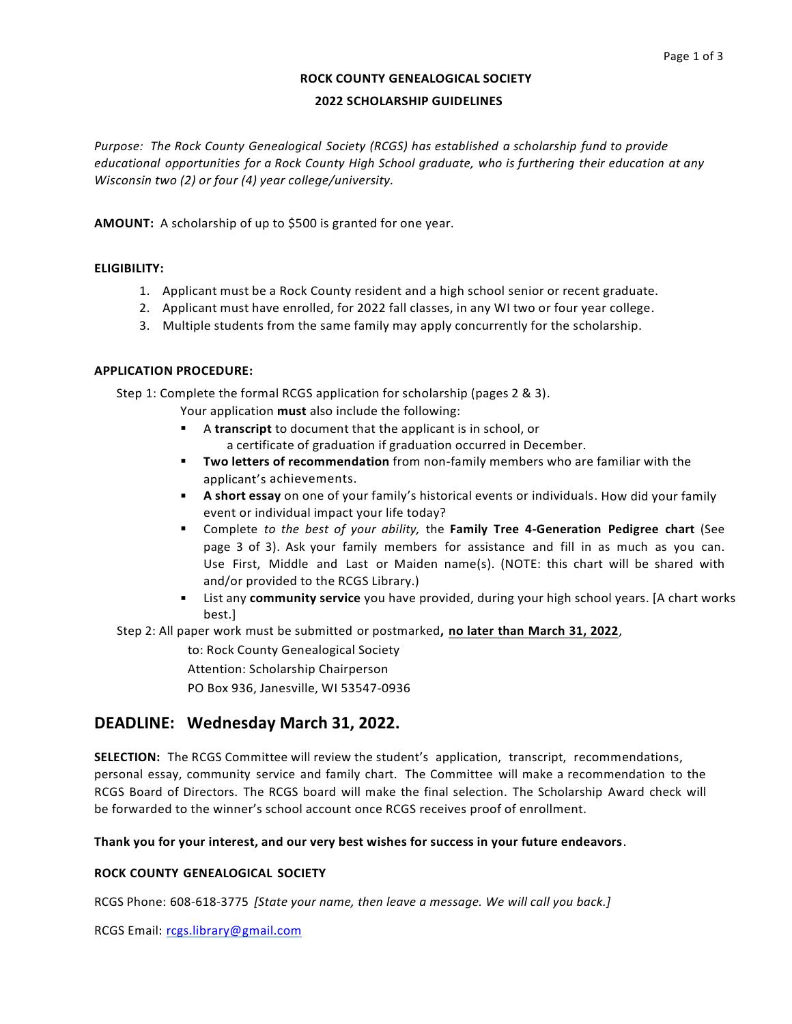# **ROCK COUNTY GENEALOGICAL SOCIETY**

### **2022 SCHOLARSHIP GUIDELINES**

*Purpose: The Rock County Genealogical Society (RCGS) has established a scholarship fund to provide educational opportunities for a Rock County High School graduate, who is furthering their education at any Wisconsin two (2) or four (4) year college/university.*

**AMOUNT:** A scholarship of up to \$500 is granted for one year.

### **ELIGIBILITY:**

- 1. Applicant must be a Rock County resident and a high school senior or recent graduate.
- 2. Applicant must have enrolled, for 2022 fall classes, in any WI two or four year college.
- 3. Multiple students from the same family may apply concurrently for the scholarship.

## **APPLICATION PROCEDURE:**

Step 1: Complete the formal RCGS application for scholarship (pages 2 & 3).

Your application **must** also include the following:

- A **transcript** to document that the applicant is in school, or a certificate of graduation if graduation occurred in December.
- § **Two letters of recommendation** from non-family members who are familiar with the applicant's achievements.
- **A short essay** on one of your family's historical events or individuals. How did your family event or individual impact your life today?
- § Complete *to the best of your ability,* the **Family Tree 4-Generation Pedigree chart** (See page 3 of 3). Ask your family members for assistance and fill in as much as you can. Use First, Middle and Last or Maiden name(s). (NOTE: this chart will be shared with and/or provided to the RCGS Library.)
- **Example 1** List any **community service** you have provided, during your high school years. [A chart works best.]

Step 2: All paper work must be submitted or postmarked**, no later than March 31, 2022**,

to: Rock County Genealogical Society

Attention: Scholarship Chairperson

PO Box 936, Janesville, WI 53547-0936

# **DEADLINE: Wednesday March 31, 2022.**

**SELECTION:** The RCGS Committee will review the student's application, transcript, recommendations, personal essay, community service and family chart. The Committee will make a recommendation to the RCGS Board of Directors. The RCGS board will make the final selection. The Scholarship Award check will be forwarded to the winner's school account once RCGS receives proof of enrollment.

### **Thank you for your interest, and our very best wishes for success in your future endeavors**.

# **ROCK COUNTY GENEALOGICAL SOCIETY**

RCGS Phone: 608-618-3775 *[State your name, then leave a message. We will call you back.]* 

RCGS Email: rcgs.library@gmail.com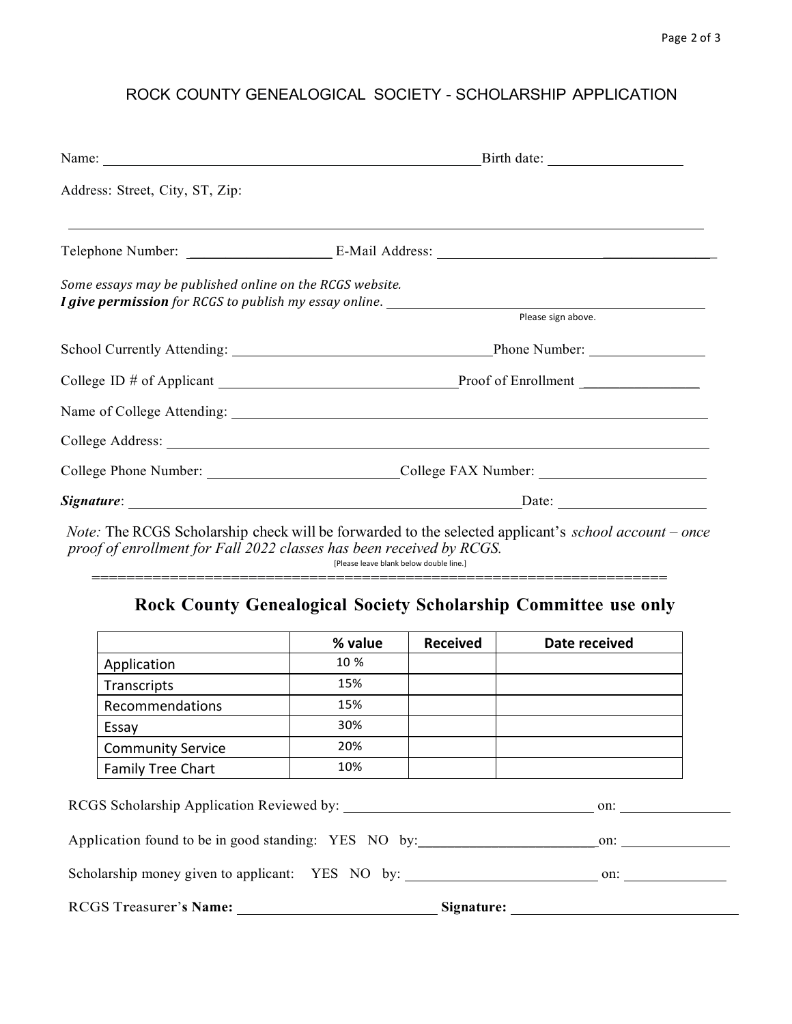# ROCK COUNTY GENEALOGICAL SOCIETY - SCHOLARSHIP APPLICATION

| Name:                                                                          |                                                                                                                                                                                                                                |  |  |
|--------------------------------------------------------------------------------|--------------------------------------------------------------------------------------------------------------------------------------------------------------------------------------------------------------------------------|--|--|
| Address: Street, City, ST, Zip:                                                |                                                                                                                                                                                                                                |  |  |
|                                                                                |                                                                                                                                                                                                                                |  |  |
| Some essays may be published online on the RCGS website.<br>Please sign above. |                                                                                                                                                                                                                                |  |  |
|                                                                                |                                                                                                                                                                                                                                |  |  |
|                                                                                | College ID # of Applicant Proof of Enrollment Proof of Enrollment                                                                                                                                                              |  |  |
|                                                                                |                                                                                                                                                                                                                                |  |  |
|                                                                                | College Address: No. 2016. The College Address: No. 2016. The College Address: No. 2016. The College Address: No. 2016. The College Address: No. 2016. The College Address: No. 2016. The College Address: No. 2016. The Colle |  |  |
|                                                                                |                                                                                                                                                                                                                                |  |  |
|                                                                                |                                                                                                                                                                                                                                |  |  |

*Note:* The RCGS Scholarship check will be forwarded to the selected applicant's *school account – once proof of enrollment for Fall 2022 classes has been received by RCGS.* [Please leave blank below double line.]

==================================================================

# **Rock County Genealogical Society Scholarship Committee use only**

|                          | % value | <b>Received</b> | Date received |
|--------------------------|---------|-----------------|---------------|
| Application              | 10 %    |                 |               |
| Transcripts              | 15%     |                 |               |
| Recommendations          | 15%     |                 |               |
| Essay                    | 30%     |                 |               |
| <b>Community Service</b> | 20%     |                 |               |
| <b>Family Tree Chart</b> | 10%     |                 |               |

| RCGS Scholarship Application Reviewed by:            | on:        |
|------------------------------------------------------|------------|
| Application found to be in good standing: YES NO by: | on:        |
| Scholarship money given to applicant: YES NO by:     | on:        |
| <b>RCGS Treasurer's Name:</b>                        | Signature: |